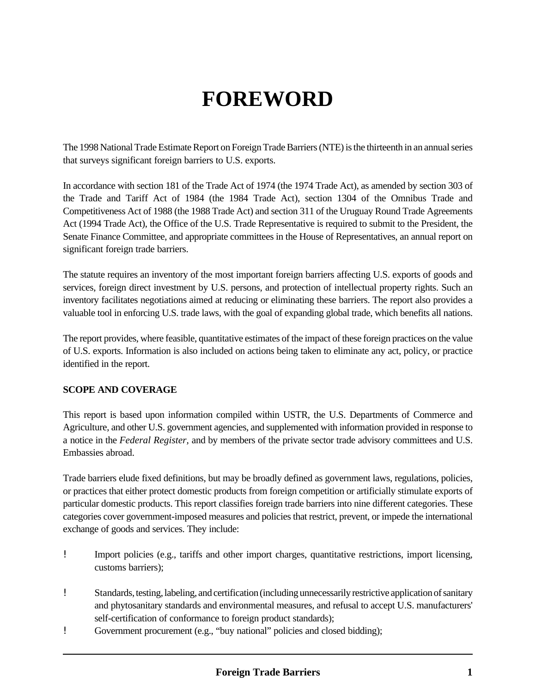# **FOREWORD**

The 1998 National Trade Estimate Report on Foreign Trade Barriers (NTE) is the thirteenth in an annual series that surveys significant foreign barriers to U.S. exports.

In accordance with section 181 of the Trade Act of 1974 (the 1974 Trade Act), as amended by section 303 of the Trade and Tariff Act of 1984 (the 1984 Trade Act), section 1304 of the Omnibus Trade and Competitiveness Act of 1988 (the 1988 Trade Act) and section 311 of the Uruguay Round Trade Agreements Act (1994 Trade Act), the Office of the U.S. Trade Representative is required to submit to the President, the Senate Finance Committee, and appropriate committees in the House of Representatives, an annual report on significant foreign trade barriers.

The statute requires an inventory of the most important foreign barriers affecting U.S. exports of goods and services, foreign direct investment by U.S. persons, and protection of intellectual property rights. Such an inventory facilitates negotiations aimed at reducing or eliminating these barriers. The report also provides a valuable tool in enforcing U.S. trade laws, with the goal of expanding global trade, which benefits all nations.

The report provides, where feasible, quantitative estimates of the impact of these foreign practices on the value of U.S. exports. Information is also included on actions being taken to eliminate any act, policy, or practice identified in the report.

## **SCOPE AND COVERAGE**

This report is based upon information compiled within USTR, the U.S. Departments of Commerce and Agriculture, and other U.S. government agencies, and supplemented with information provided in response to a notice in the *Federal Register,* and by members of the private sector trade advisory committees and U.S. Embassies abroad.

Trade barriers elude fixed definitions, but may be broadly defined as government laws, regulations, policies, or practices that either protect domestic products from foreign competition or artificially stimulate exports of particular domestic products. This report classifies foreign trade barriers into nine different categories. These categories cover government-imposed measures and policies that restrict, prevent, or impede the international exchange of goods and services. They include:

- ! Import policies (e.g., tariffs and other import charges, quantitative restrictions, import licensing, customs barriers);
- ! Standards, testing, labeling, and certification (including unnecessarily restrictive application of sanitary and phytosanitary standards and environmental measures, and refusal to accept U.S. manufacturers' self-certification of conformance to foreign product standards);
- ! Government procurement (e.g., "buy national" policies and closed bidding);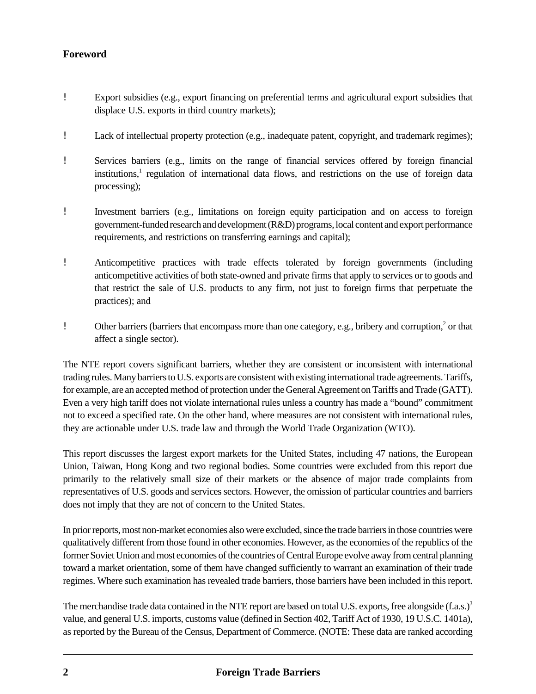- ! Export subsidies (e.g., export financing on preferential terms and agricultural export subsidies that displace U.S. exports in third country markets);
- ! Lack of intellectual property protection (e.g., inadequate patent, copyright, and trademark regimes);
- ! Services barriers (e.g., limits on the range of financial services offered by foreign financial institutions,<sup>1</sup> regulation of international data flows, and restrictions on the use of foreign data processing);
- ! Investment barriers (e.g., limitations on foreign equity participation and on access to foreign government-funded research and development (R&D) programs, local content and export performance requirements, and restrictions on transferring earnings and capital);
- ! Anticompetitive practices with trade effects tolerated by foreign governments (including anticompetitive activities of both state-owned and private firms that apply to services or to goods and that restrict the sale of U.S. products to any firm, not just to foreign firms that perpetuate the practices); and
- ! Other barriers (barriers that encompass more than one category, e.g., bribery and corruption,<sup>2</sup> or that affect a single sector).

The NTE report covers significant barriers, whether they are consistent or inconsistent with international trading rules. Many barriers to U.S. exports are consistent with existing international trade agreements. Tariffs, for example, are an accepted method of protection under the General Agreement on Tariffs and Trade (GATT). Even a very high tariff does not violate international rules unless a country has made a "bound" commitment not to exceed a specified rate. On the other hand, where measures are not consistent with international rules, they are actionable under U.S. trade law and through the World Trade Organization (WTO).

This report discusses the largest export markets for the United States, including 47 nations, the European Union, Taiwan, Hong Kong and two regional bodies. Some countries were excluded from this report due primarily to the relatively small size of their markets or the absence of major trade complaints from representatives of U.S. goods and services sectors. However, the omission of particular countries and barriers does not imply that they are not of concern to the United States.

In prior reports, most non-market economies also were excluded, since the trade barriers in those countries were qualitatively different from those found in other economies. However, as the economies of the republics of the former Soviet Union and most economies of the countries of Central Europe evolve away from central planning toward a market orientation, some of them have changed sufficiently to warrant an examination of their trade regimes. Where such examination has revealed trade barriers, those barriers have been included in this report.

The merchandise trade data contained in the NTE report are based on total U.S. exports, free alongside  $(f.a.s.)^3$ value, and general U.S. imports, customs value (defined in Section 402, Tariff Act of 1930, 19 U.S.C. 1401a), as reported by the Bureau of the Census, Department of Commerce. (NOTE: These data are ranked according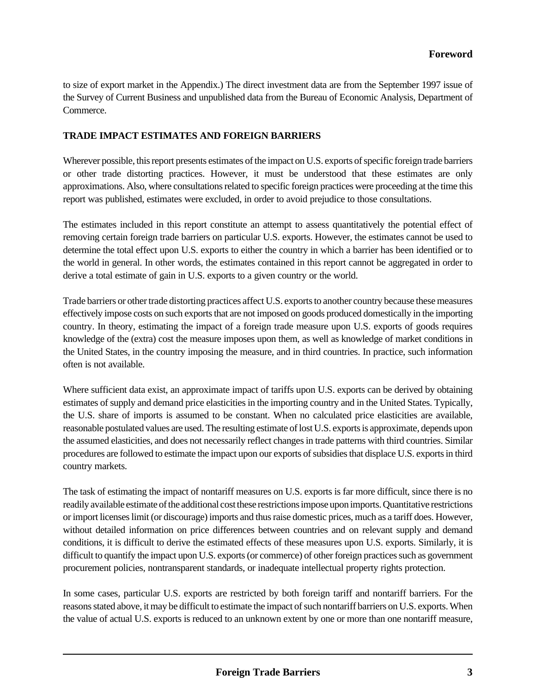to size of export market in the Appendix.) The direct investment data are from the September 1997 issue of the Survey of Current Business and unpublished data from the Bureau of Economic Analysis, Department of Commerce.

### **TRADE IMPACT ESTIMATES AND FOREIGN BARRIERS**

Wherever possible, this report presents estimates of the impact on U.S. exports of specific foreign trade barriers or other trade distorting practices. However, it must be understood that these estimates are only approximations. Also, where consultations related to specific foreign practices were proceeding at the time this report was published, estimates were excluded, in order to avoid prejudice to those consultations.

The estimates included in this report constitute an attempt to assess quantitatively the potential effect of removing certain foreign trade barriers on particular U.S. exports. However, the estimates cannot be used to determine the total effect upon U.S. exports to either the country in which a barrier has been identified or to the world in general. In other words, the estimates contained in this report cannot be aggregated in order to derive a total estimate of gain in U.S. exports to a given country or the world.

Trade barriers or other trade distorting practices affect U.S. exports to another country because these measures effectively impose costs on such exports that are not imposed on goods produced domestically in the importing country. In theory, estimating the impact of a foreign trade measure upon U.S. exports of goods requires knowledge of the (extra) cost the measure imposes upon them, as well as knowledge of market conditions in the United States, in the country imposing the measure, and in third countries. In practice, such information often is not available.

Where sufficient data exist, an approximate impact of tariffs upon U.S. exports can be derived by obtaining estimates of supply and demand price elasticities in the importing country and in the United States. Typically, the U.S. share of imports is assumed to be constant. When no calculated price elasticities are available, reasonable postulated values are used. The resulting estimate of lost U.S. exports is approximate, depends upon the assumed elasticities, and does not necessarily reflect changes in trade patterns with third countries. Similar procedures are followed to estimate the impact upon our exports of subsidies that displace U.S. exports in third country markets.

The task of estimating the impact of nontariff measures on U.S. exports is far more difficult, since there is no readily available estimate of the additional cost these restrictions impose upon imports. Quantitative restrictions or import licenses limit (or discourage) imports and thus raise domestic prices, much as a tariff does. However, without detailed information on price differences between countries and on relevant supply and demand conditions, it is difficult to derive the estimated effects of these measures upon U.S. exports. Similarly, it is difficult to quantify the impact upon U.S. exports (or commerce) of other foreign practices such as government procurement policies, nontransparent standards, or inadequate intellectual property rights protection.

In some cases, particular U.S. exports are restricted by both foreign tariff and nontariff barriers. For the reasons stated above, it may be difficult to estimate the impact of such nontariff barriers on U.S. exports. When the value of actual U.S. exports is reduced to an unknown extent by one or more than one nontariff measure,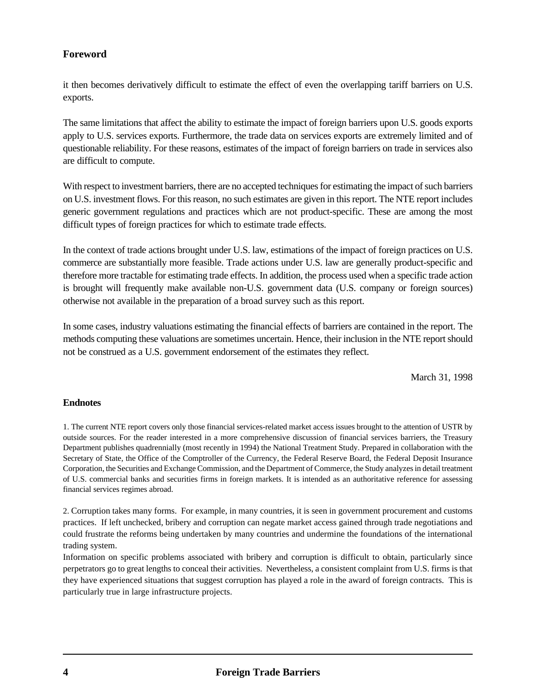it then becomes derivatively difficult to estimate the effect of even the overlapping tariff barriers on U.S. exports.

The same limitations that affect the ability to estimate the impact of foreign barriers upon U.S. goods exports apply to U.S. services exports. Furthermore, the trade data on services exports are extremely limited and of questionable reliability. For these reasons, estimates of the impact of foreign barriers on trade in services also are difficult to compute.

With respect to investment barriers, there are no accepted techniques for estimating the impact of such barriers on U.S. investment flows. For this reason, no such estimates are given in this report. The NTE report includes generic government regulations and practices which are not product-specific. These are among the most difficult types of foreign practices for which to estimate trade effects.

In the context of trade actions brought under U.S. law, estimations of the impact of foreign practices on U.S. commerce are substantially more feasible. Trade actions under U.S. law are generally product-specific and therefore more tractable for estimating trade effects. In addition, the process used when a specific trade action is brought will frequently make available non-U.S. government data (U.S. company or foreign sources) otherwise not available in the preparation of a broad survey such as this report.

In some cases, industry valuations estimating the financial effects of barriers are contained in the report. The methods computing these valuations are sometimes uncertain. Hence, their inclusion in the NTE report should not be construed as a U.S. government endorsement of the estimates they reflect.

March 31, 1998

#### **Endnotes**

1. The current NTE report covers only those financial services-related market access issues brought to the attention of USTR by outside sources. For the reader interested in a more comprehensive discussion of financial services barriers, the Treasury Department publishes quadrennially (most recently in 1994) the National Treatment Study. Prepared in collaboration with the Secretary of State, the Office of the Comptroller of the Currency, the Federal Reserve Board, the Federal Deposit Insurance Corporation, the Securities and Exchange Commission, and the Department of Commerce, the Study analyzes in detail treatment of U.S. commercial banks and securities firms in foreign markets. It is intended as an authoritative reference for assessing financial services regimes abroad.

2. Corruption takes many forms. For example, in many countries, it is seen in government procurement and customs practices. If left unchecked, bribery and corruption can negate market access gained through trade negotiations and could frustrate the reforms being undertaken by many countries and undermine the foundations of the international trading system.

Information on specific problems associated with bribery and corruption is difficult to obtain, particularly since perpetrators go to great lengths to conceal their activities. Nevertheless, a consistent complaint from U.S. firms is that they have experienced situations that suggest corruption has played a role in the award of foreign contracts. This is particularly true in large infrastructure projects.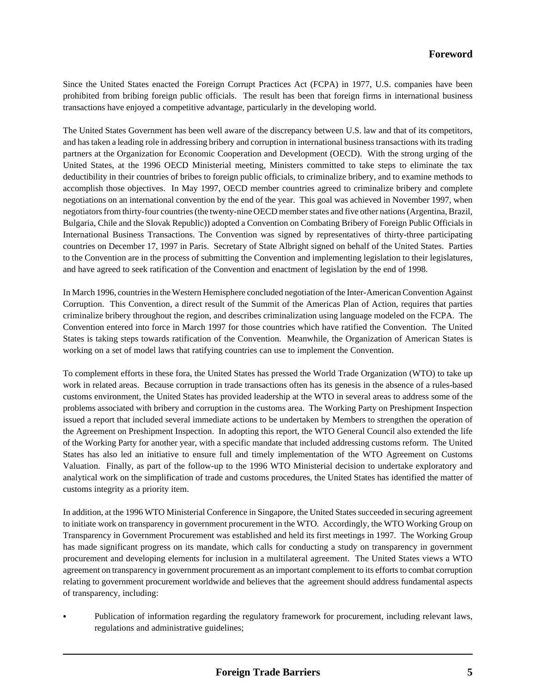Since the United States enacted the Foreign Corrupt Practices Act (FCPA) in 1977, U.S. companies have been prohibited from bribing foreign public officials. The result has been that foreign firms in international business transactions have enjoyed a competitive advantage, particularly in the developing world.

The United States Government has been well aware of the discrepancy between U.S. law and that of its competitors, and has taken a leading role in addressing bribery and corruption in international business transactions with its trading partners at the Organization for Economic Cooperation and Development (OECD). With the strong urging of the United States, at the 1996 OECD Ministerial meeting, Ministers committed to take steps to eliminate the tax deductibility in their countries of bribes to foreign public officials, to criminalize bribery, and to examine methods to accomplish those objectives. In May 1997, OECD member countries agreed to criminalize bribery and complete negotiations on an international convention by the end of the year. This goal was achieved in November 1997, when negotiators from thirty-four countries (the twenty-nine OECD member states and five other nations (Argentina, Brazil, Bulgaria, Chile and the Slovak Republic)) adopted a Convention on Combating Bribery of Foreign Public Officials in International Business Transactions. The Convention was signed by representatives of thirty-three participating countries on December 17, 1997 in Paris. Secretary of State Albright signed on behalf of the United States. Parties to the Convention are in the process of submitting the Convention and implementing legislation to their legislatures, and have agreed to seek ratification of the Convention and enactment of legislation by the end of 1998.

In March 1996, countries in the Western Hemisphere concluded negotiation of the Inter-American Convention Against Corruption. This Convention, a direct result of the Summit of the Americas Plan of Action, requires that parties criminalize bribery throughout the region, and describes criminalization using language modeled on the FCPA. The Convention entered into force in March 1997 for those countries which have ratified the Convention. The United States is taking steps towards ratification of the Convention. Meanwhile, the Organization of American States is working on a set of model laws that ratifying countries can use to implement the Convention.

To complement efforts in these fora, the United States has pressed the World Trade Organization (WTO) to take up work in related areas. Because corruption in trade transactions often has its genesis in the absence of a rules-based customs environment, the United States has provided leadership at the WTO in several areas to address some of the problems associated with bribery and corruption in the customs area. The Working Party on Preshipment Inspection issued a report that included several immediate actions to be undertaken by Members to strengthen the operation of the Agreement on Preshipment Inspection. In adopting this report, the WTO General Council also extended the life of the Working Party for another year, with a specific mandate that included addressing customs reform. The United States has also led an initiative to ensure full and timely implementation of the WTO Agreement on Customs Valuation. Finally, as part of the follow-up to the 1996 WTO Ministerial decision to undertake exploratory and analytical work on the simplification of trade and customs procedures, the United States has identified the matter of customs integrity as a priority item.

In addition, at the 1996 WTO Ministerial Conference in Singapore, the United States succeeded in securing agreement to initiate work on transparency in government procurement in the WTO. Accordingly, the WTO Working Group on Transparency in Government Procurement was established and held its first meetings in 1997. The Working Group has made significant progress on its mandate, which calls for conducting a study on transparency in government procurement and developing elements for inclusion in a multilateral agreement. The United States views a WTO agreement on transparency in government procurement as an important complement to its efforts to combat corruption relating to government procurement worldwide and believes that the agreement should address fundamental aspects of transparency, including:

Publication of information regarding the regulatory framework for procurement, including relevant laws, regulations and administrative guidelines;